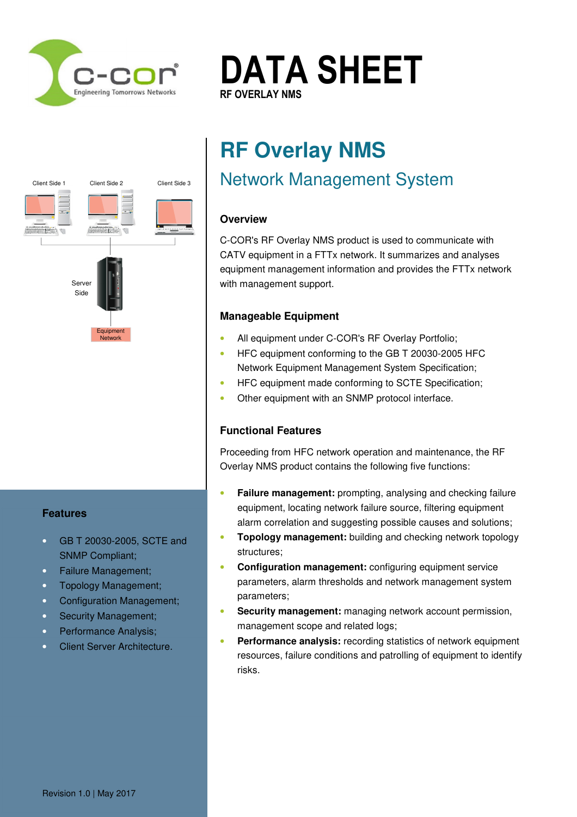

Client Side 1 Client Side 2

T.  $\frac{1}{\sqrt{2}}$  854 $\frac{1}{\sqrt{2}}$  854 $\frac{1}{\sqrt{2}}$  854 $\frac{1}{\sqrt{2}}$  854 $\frac{1}{\sqrt{2}}$  854 $\frac{1}{\sqrt{2}}$  854 $\frac{1}{\sqrt{2}}$  854 $\frac{1}{\sqrt{2}}$  854 $\frac{1}{\sqrt{2}}$  854 $\frac{1}{\sqrt{2}}$  854 $\frac{1}{\sqrt{2}}$  854 $\frac{1}{\sqrt{2}}$  854 $\frac{1}{\sqrt{2}}$  854 $\frac{1}{\sqrt{2$  $\frac{1}{\sqrt{2}}$   $\frac{1}{\sqrt{2}}$   $\frac{1}{\sqrt{2}}$   $\frac{1}{\sqrt{2}}$   $\frac{1}{\sqrt{2}}$   $\frac{1}{\sqrt{2}}$   $\frac{1}{\sqrt{2}}$   $\frac{1}{\sqrt{2}}$   $\frac{1}{\sqrt{2}}$   $\frac{1}{\sqrt{2}}$   $\frac{1}{\sqrt{2}}$   $\frac{1}{\sqrt{2}}$   $\frac{1}{\sqrt{2}}$   $\frac{1}{\sqrt{2}}$   $\frac{1}{\sqrt{2}}$   $\frac{1}{\sqrt{2}}$   $\frac{1}{\sqrt{2}}$  E. sales@c-cor.com.au ww.c-cor.com

Server **Representation** 

**Equipment** Network

Side **Analysis** E: sales@c-cor.com.au

 $\overline{\phantom{a}}$ 



# **RF Overlay NMS**

## Network Management System

## **Overview**

Client Side 3

C-COR's RF Overlay NMS product is used to communicate with CATV equipment in a FTTx network. It summarizes and analyses equipment management information and provides the FTTx network with management support.

## **Manageable Equipment**

- All equipment under C-COR's RF Overlay Portfolio;
- HFC equipment conforming to the GB T 20030-2005 HFC Network Equipment Management System Specification;
- HFC equipment made conforming to SCTE Specification;
- Other equipment with an SNMP protocol interface.

## **Functional Features**

Proceeding from HFC network operation and maintenance, the RF Overlay NMS product contains the following five functions:

- **Failure management:** prompting, analysing and checking failure equipment, locating network failure source, filtering equipment alarm correlation and suggesting possible causes and solutions;
- **Topology management:** building and checking network topology structures;
- **Configuration management:** configuring equipment service parameters, alarm thresholds and network management system parameters;
- **Security management:** managing network account permission, management scope and related logs;
- **Performance analysis:** recording statistics of network equipment resources, failure conditions and patrolling of equipment to identify risks.

## **Features**

- GB T 20030-2005, SCTE and SNMP Compliant;
- Failure Management;
- Topology Management;
- Configuration Management;
- Security Management;
- Performance Analysis;
- Client Server Architecture.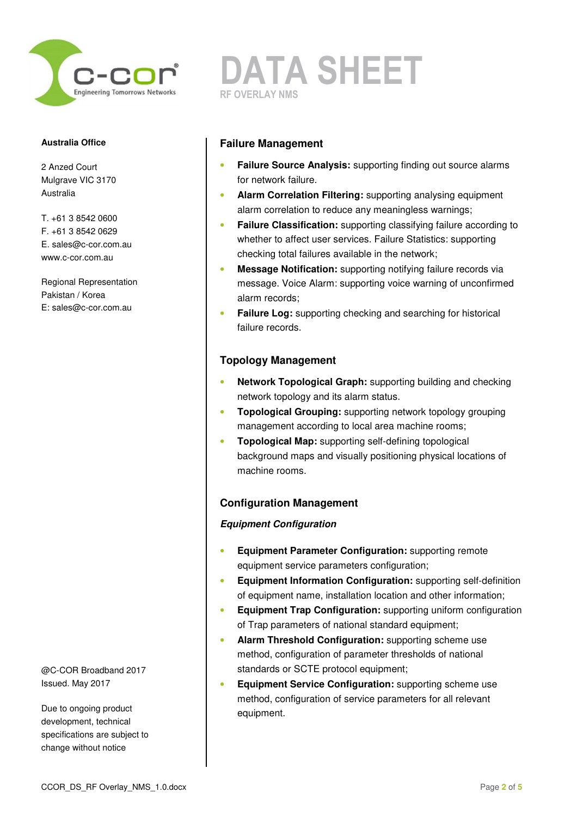

2 Anzed Court Mulgrave VIC 3170 Australia

T. +61 3 8542 0600 F. +61 3 8542 0629 E. sales@c-cor.com.au www.c-cor.com.au

Regional Representation Pakistan / Korea E: sales@c-cor.com.au

@C-COR Broadband 2017 Issued. May 2017

Due to ongoing product development, technical specifications are subject to change without notice

## **DATA SHEET RF OVERLAY NMS**

## **Failure Management**

- **Failure Source Analysis:** supporting finding out source alarms for network failure.
- **Alarm Correlation Filtering:** supporting analysing equipment alarm correlation to reduce any meaningless warnings;
- **Failure Classification:** supporting classifying failure according to whether to affect user services. Failure Statistics: supporting checking total failures available in the network;
- **Message Notification:** supporting notifying failure records via message. Voice Alarm: supporting voice warning of unconfirmed alarm records;
- **Failure Log:** supporting checking and searching for historical failure records.

## **Topology Management**

- **Network Topological Graph:** supporting building and checking network topology and its alarm status.
- **Topological Grouping:** supporting network topology grouping management according to local area machine rooms;
- **Topological Map:** supporting self-defining topological background maps and visually positioning physical locations of machine rooms.

## **Configuration Management**

## **Equipment Configuration**

- **Equipment Parameter Configuration:** supporting remote equipment service parameters configuration;
- **Equipment Information Configuration:** supporting self-definition of equipment name, installation location and other information;
- **Equipment Trap Configuration:** supporting uniform configuration of Trap parameters of national standard equipment;
- **Alarm Threshold Configuration:** supporting scheme use method, configuration of parameter thresholds of national standards or SCTE protocol equipment;
- **Equipment Service Configuration:** supporting scheme use method, configuration of service parameters for all relevant equipment.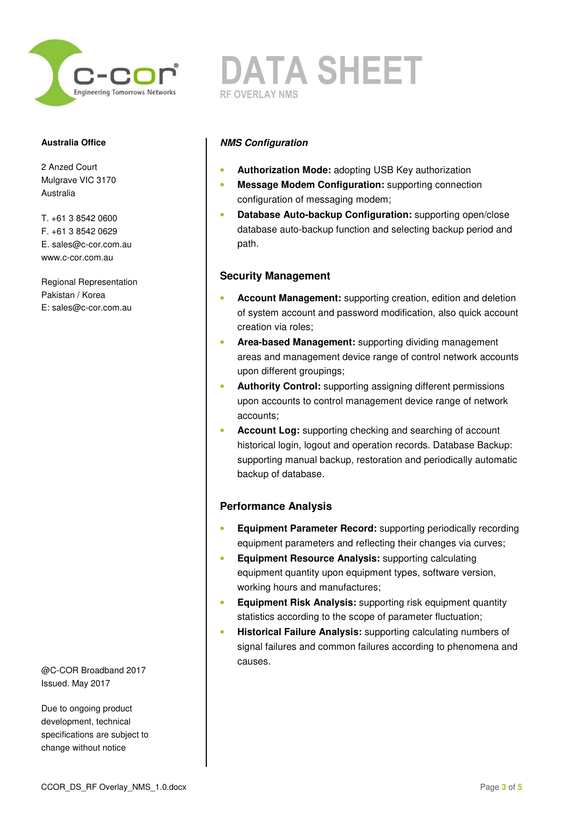

2 Anzed Court Mulgrave VIC 3170 Australia

T. +61 3 8542 0600 F. +61 3 8542 0629 E. sales@c-cor.com.au www.c-cor.com.au

Regional Representation Pakistan / Korea E: sales@c-cor.com.au

@C-COR Broadband 2017 Issued. May 2017

Due to ongoing product development, technical specifications are subject to change without notice

**DATA SHEET RF OVERLAY NMS** 

### **NMS Configuration**

- **Authorization Mode:** adopting USB Key authorization
- **Message Modem Configuration:** supporting connection configuration of messaging modem;
- **Database Auto-backup Configuration:** supporting open/close database auto-backup function and selecting backup period and path.

#### **Security Management**

- **Account Management:** supporting creation, edition and deletion of system account and password modification, also quick account creation via roles;
- **Area-based Management:** supporting dividing management areas and management device range of control network accounts upon different groupings;
- **Authority Control:** supporting assigning different permissions upon accounts to control management device range of network accounts;
- **Account Log:** supporting checking and searching of account historical login, logout and operation records. Database Backup: supporting manual backup, restoration and periodically automatic backup of database.

#### **Performance Analysis**

- **Equipment Parameter Record:** supporting periodically recording equipment parameters and reflecting their changes via curves;
- **Equipment Resource Analysis:** supporting calculating equipment quantity upon equipment types, software version, working hours and manufactures;
- **Equipment Risk Analysis:** supporting risk equipment quantity statistics according to the scope of parameter fluctuation;
- **Historical Failure Analysis:** supporting calculating numbers of signal failures and common failures according to phenomena and causes.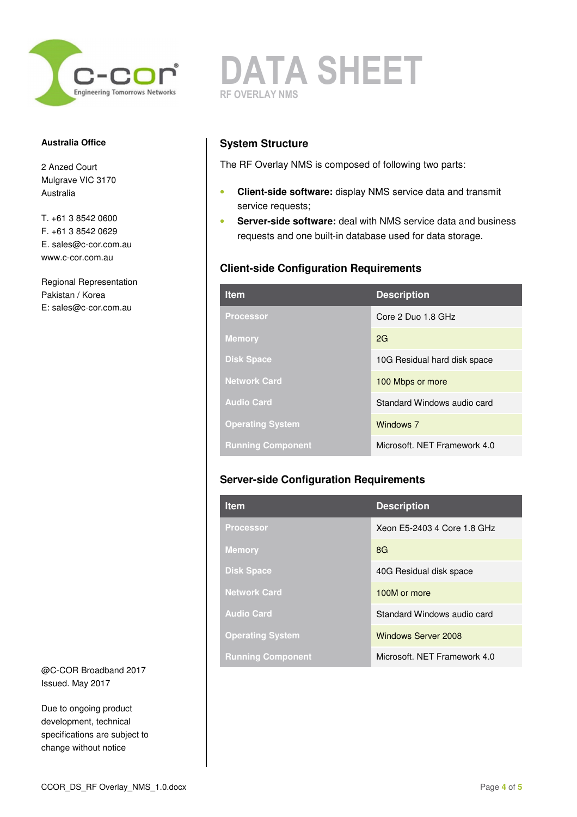

2 Anzed Court Mulgrave VIC 3170 Australia

T. +61 3 8542 0600 F. +61 3 8542 0629 E. sales@c-cor.com.au www.c-cor.com.au

Regional Representation Pakistan / Korea E: sales@c-cor.com.au

@C-COR Broadband 2017 Issued. May 2017

Due to ongoing product development, technical specifications are subject to change without notice



## **System Structure**

The RF Overlay NMS is composed of following two parts:

- **Client-side software:** display NMS service data and transmit service requests;
- **Server-side software:** deal with NMS service data and business requests and one built-in database used for data storage.

## **Client-side Configuration Requirements**

| <b>Item</b>              | <b>Description</b>           |
|--------------------------|------------------------------|
| <b>Processor</b>         | Core 2 Duo 1.8 GHz           |
| <b>Memory</b>            | 2G                           |
| <b>Disk Space</b>        | 10G Residual hard disk space |
| <b>Network Card</b>      | 100 Mbps or more             |
| <b>Audio Card</b>        | Standard Windows audio card  |
| <b>Operating System</b>  | Windows 7                    |
| <b>Running Component</b> | Microsoft, NET Framework 4.0 |

## **Server-side Configuration Requirements**

| <b>Item</b>              | <b>Description</b>           |
|--------------------------|------------------------------|
| <b>Processor</b>         | Xeon E5-2403 4 Core 1.8 GHz  |
| <b>Memory</b>            | 8G                           |
| <b>Disk Space</b>        | 40G Residual disk space      |
| <b>Network Card</b>      | 100M or more                 |
| <b>Audio Card</b>        | Standard Windows audio card  |
| <b>Operating System</b>  | <b>Windows Server 2008</b>   |
| <b>Running Component</b> | Microsoft, NET Framework 4.0 |